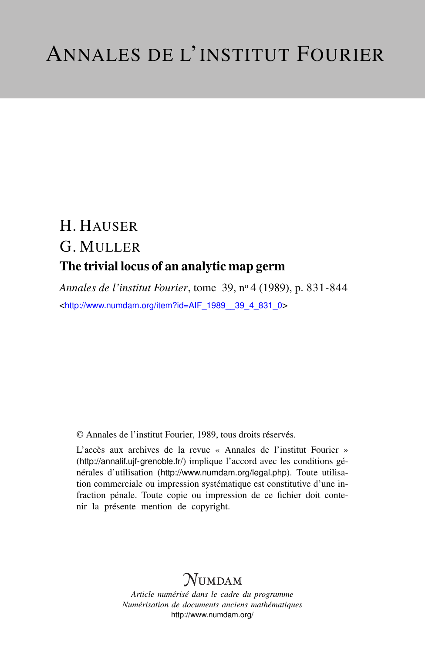# H. HAUSER G. MULLER The trivial locus of an analytic map germ

*Annales de l'institut Fourier*, tome 39, n<sup>o</sup> 4 (1989), p. 831-844 <[http://www.numdam.org/item?id=AIF\\_1989\\_\\_39\\_4\\_831\\_0](http://www.numdam.org/item?id=AIF_1989__39_4_831_0)>

© Annales de l'institut Fourier, 1989, tous droits réservés.

L'accès aux archives de la revue « Annales de l'institut Fourier » (<http://annalif.ujf-grenoble.fr/>) implique l'accord avec les conditions générales d'utilisation (<http://www.numdam.org/legal.php>). Toute utilisation commerciale ou impression systématique est constitutive d'une infraction pénale. Toute copie ou impression de ce fichier doit contenir la présente mention de copyright.

# NUMDAM

*Article numérisé dans le cadre du programme Numérisation de documents anciens mathématiques* <http://www.numdam.org/>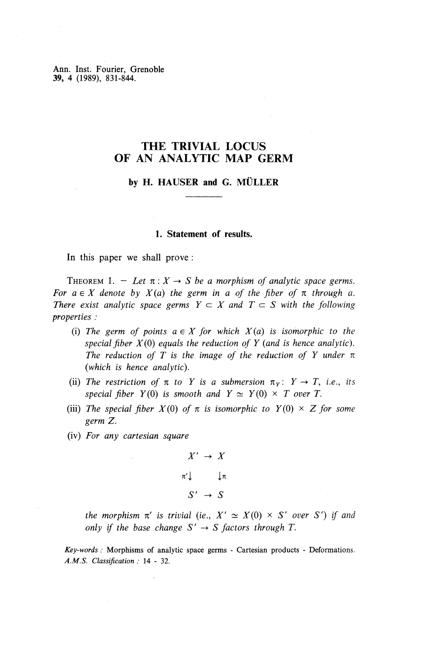Ann. Inst. Fourier, Grenoble **39,** 4 (1989), 831-844.

## **THE TRIVIAL LOCUS OF AN ANALYTIC MAP GERM**

## **by H. HAUSER and G. MULLER**

### **1. Statement of results.**

In this paper we shall prove :

THEOREM 1. – Let  $\pi: X \to S$  be a morphism of analytic space germs. *For*  $a \in X$  denote by  $X(a)$  the germ in a of the fiber of  $\pi$  through a. *There exist analytic space germs*  $Y \subset X$  *and*  $T \subset S$  *with the following properties :*

- (i) The germ of points  $a \in X$  for which  $X(a)$  is isomorphic to the *special fiber X(0) equals the reduction of Y (and is hence analytic).* The reduction of T is the image of the reduction of Y under  $\pi$ *(which is hence analytic).*
- (ii) The restriction of  $\pi$  to Y is a submersion  $\pi_v: Y \to T$ , *i.e.*, *its special fiber*  $Y(0)$  *is smooth and*  $Y \simeq Y(0) \times T$  *over T.*
- (iii) The special fiber  $X(0)$  of  $\pi$  is isomorphic to  $Y(0) \times Z$  for some *germ Z.*
- (iv) *For any cartesian square*

$$
X' \rightarrow X
$$
  

$$
\pi' \downarrow \qquad \downarrow \pi
$$
  

$$
S' \rightarrow S
$$

*the morphism*  $\pi'$  *is trivial (ie.,*  $X' \simeq X(0) \times S'$  *over S') if and only if the base change*  $S' \rightarrow S$  *factors through*  $T$ .

*Key-words :* Morphisms of analytic space germs - Cartesian products - Deformations. *A.M.S. Classification :* 14 - 32.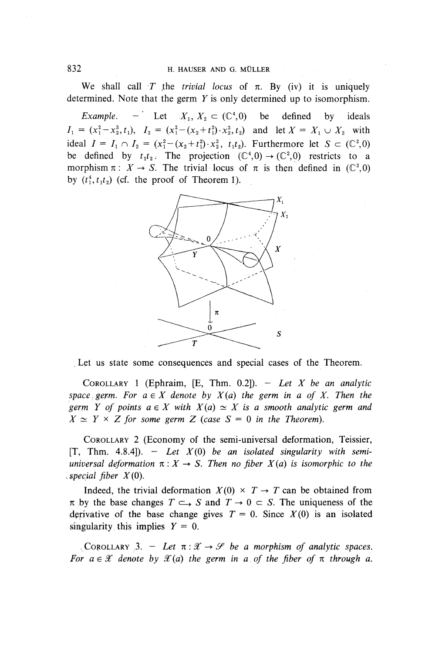We shall call *T* the *trivial locus* of  $\pi$ . By (iv) it is uniquely determined. Note that the germ *Y* is only determined up to isomorphism.

*Example.* – Let  $X_1, X_2 \subset (\mathbb{C}^4, 0)$  be defined by ideals  $I_1 = (x_1^2 - x_2^3, t_1),$   $I_2 = (x_1^2 - (x_2 + t_1^2) \cdot x_2^2, t_2)$  and let  $X = X_1 \cup X_2$  with ideal  $I = I_1 \cap I_2 = (x_1^2-(x_2+t_1^2)\cdot x_2^2, t_1t_2)$ . Furthermore let  $S \subset (\mathbb{C}^2, 0)$ be defined by  $t_1 t_2$ . The projection  $(\mathbb{C}^4,0) \rightarrow (\mathbb{C}^2,0)$  restricts to a morphism  $\pi$ :  $X \to S$ . The trivial locus of  $\pi$  is then defined in (C<sup>2</sup>,0) by  $(t_1^4, t_1t_2)$  (cf. the proof of Theorem 1).



;Let us state some consequences and special cases of the Theorem.

COROLLARY 1 (Ephraim,  $[E, Thm. 0.2]$ ). - Let X be an analytic space germ. For  $a \in X$  denote by  $X(a)$  the germ in a of X. Then the *germ Y of points*  $a \in X$  *with*  $X(a) \simeq X$  *is a smooth analytic germ and*  $X \simeq Y \times Z$  for some germ Z (case  $S = 0$  in the Theorem).

COROLLARY 2 (Economy of the semi-universal deformation, Teissier,  $[T, Thm. 4.8.4]$ . - Let  $X(0)$  be an isolated singularity with semi*universal deformation*  $\pi$ :  $X \rightarrow S$ . Then no fiber  $X(a)$  is isomorphic to the *.special fiber X(0).*

Indeed, the trivial deformation  $X(0) \times T \rightarrow T$  can be obtained from  $\pi$  by the base changes  $T \subset S$  and  $T \to 0 \subset S$ . The uniqueness of the derivative of the base change gives  $T = 0$ . Since  $X(0)$  is an isolated singularity this implies  $Y = 0$ .

COROLLARY 3. – Let  $\pi : \mathcal{X} \to \mathcal{S}$  be a morphism of analytic spaces. *For*  $a \in \mathcal{X}$  *denote by*  $\mathcal{X}(a)$  *the germ in a of the fiber of*  $\pi$  *through a.*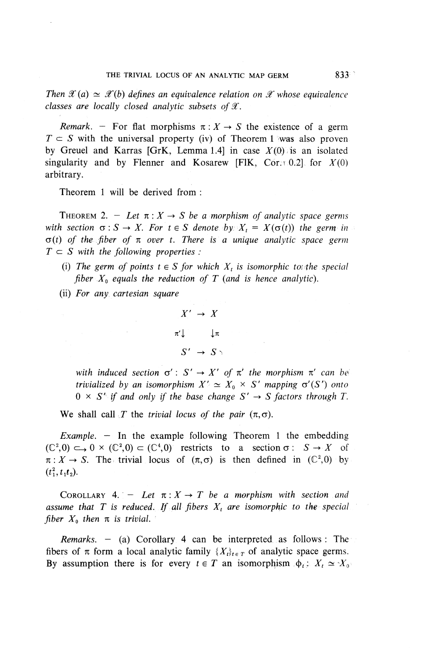*Then*  $\mathscr{X}(a) \simeq \mathscr{X}(b)$  defines an equivalence relation on  $\mathscr{X}$  whose equivalence *classes are locally closed analytic subsets of X.* 

*Remark.* – For flat morphisms  $\pi : X \to S$  the existence of a germ  $T \subset S$  with the universal property (iv) of Theorem 1 was also proven by Greuel and Karras [GrK, Lemma 1.4] in case  $X(0)$  is an isolated singularity and by Flenner and Kosarew [F1K, Cor.r 0.2] for  $X(0)$ arbitrary.

Theorem 1 will be derived from :

THEOREM 2. – Let  $\pi: X \to S$  be a morphism of analytic space germs *with section*  $\sigma : S \to X$ . For  $t \in S$  denote by  $X_t = X(\sigma(t))$  the germ in  $\sigma(t)$  of the fiber of  $\pi$  over t. There is a unique analytic space germ  $T \subset S$  with the following properties :

- (i) The germ of points  $t \in S$  for which  $X_t$  is isomorphic to the special *fiber*  $X_0$  equals the reduction of T (and is hence analytic).
- (ii) *For any cartesian square*

$$
X' \rightarrow X
$$
  

$$
\pi' \downarrow \qquad \downarrow \pi
$$
  

$$
S' \rightarrow S \rightarrow
$$

*with induced section*  $\sigma' : S' \to X'$  *of*  $\pi'$  *the morphism*  $\pi'$  *can be trivialized by an isomorphism*  $X' \simeq X_0 \times S'$  *mapping*  $\sigma'(S')$  *onto*  $0 \times S'$  *if and only if the base change*  $S' \rightarrow S$  *factors through T*.

We shall call *T* the *trivial locus of the pair*  $(\pi, \sigma)$ .

*Example. —* In the example following Theorem 1 the embedding  $(C^2,0) \hookrightarrow 0 \times (C^2,0) \subset (C^4,0)$  restricts to a section  $\sigma : S \to X$  of  $\pi: X \to S$ . The trivial locus of  $(\pi, \sigma)$  is then defined in  $(\mathbb{C}^2, 0)$  by  $(t_1^2,t_1t_2).$ 

COROLLARY 4.  $-$  Let  $\pi: X \to T$  be a morphism with section and *assume that T is reduced. If all fibers*  $X_t$  *are isomorphic to the special fiber*  $X_0$  *then*  $\pi$  *is trivial.* 

*Remarks. —* (a) Corollary 4 can be interpreted as follows: The fibers of  $\pi$  form a local analytic family  $\{X_t\}_{t \in \mathcal{T}}$  of analytic space germs. By assumption there is for every  $t \in T$  an isomorphism  $\phi_t$ :  $X_t \simeq X_0$ .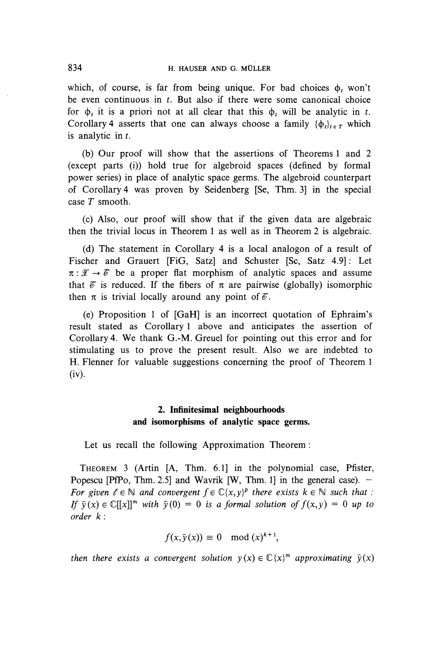which, of course, is far from being unique. For bad choices  $\phi$ , won't be even continuous in *t.* But also if there were some canonical choice for  $\phi$ , it is a priori not at all clear that this  $\phi$ , will be analytic in t. Corollary 4 asserts that one can always choose a family  $\{\phi_i\}_{i \in \mathcal{I}}$  which is analytic in *t.*

(b) Our proof will show that the assertions of Theorems 1 and 2 (except parts (i)) hold true for algebroid spaces (defined by formal power series) in place of analytic space germs. The algebroid counterpart of Corollary 4 was proven by Seidenberg [Se, Thm. 3] in the special case *T* smooth.

(c) Also, our proof will show that if the given data are algebraic then the trivial locus in Theorem 1 as well as in Theorem 2 is algebraic.

(d) The statement in Corollary 4 is a local analogon of a result of Fischer and Grauert [FiG, Satz] and Schuster [Sc, Satz 4.9]: Let  $\pi : \mathcal{X} \to \mathcal{C}$  be a proper flat morphism of analytic spaces and assume that  $\delta$  is reduced. If the fibers of  $\pi$  are pairwise (globally) isomorphic then  $\pi$  is trivial locally around any point of  $\mathscr{E}$ .

(e) Proposition 1 of [GaH] is an incorrect quotation of Ephraim's result stated as Corollary 1 above and anticipates the assertion of Corollary 4. **We** thank G.-M. Greuel for pointing out this error and for stimulating us to prove the present result. Also we are indebted to H. Flenner for valuable suggestions concerning the proof of Theorem 1 (iv).

## **2. Infinitesimal neighbourhoods and isomorphisms of analytic space germs.**

Let us recall the following Approximation Theorem :

THEOREM 3 (Artin [A, Thm. 6.1] in the polynomial case, Pfister, Popescu [PfPo, Thm. 2.5] and Wavrik [W, Thm. 1] in the general case).  $-$ *For given*  $\ell \in \mathbb{N}$  *and convergent*  $f \in \mathbb{C}\{x,y\}^p$  there exists  $k \in \mathbb{N}$  such that : *If*  $\bar{y}(x) \in \mathbb{C}[[x]]^m$  with  $\bar{y}(0) = 0$  is a formal solution of  $f(x, y) = 0$  up to *order k :*

$$
f(x,\bar{y}(x)) \equiv 0 \mod (x)^{k+1},
$$

*then there exists a convergent solution*  $y(x) \in \mathbb{C}\{x\}^m$  approximating  $\bar{y}(x)$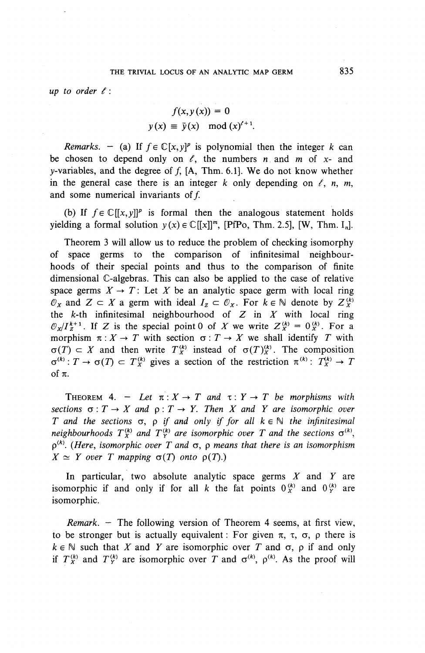$up$  *to order*  $\ell$  *:* 

$$
f(x, y(x)) = 0
$$
  

$$
y(x) \equiv \bar{y}(x) \mod (x)^{t+1}.
$$

*Remarks.* – (a) If  $f \in \mathbb{C}[x, y]^p$  is polynomial then the integer k can be chosen to depend only on  $\ell$ , the numbers *n* and *m* of *x*- and y-variables, and the degree of  $f$ , [A, Thm. 6.1]. We do not know whether in the general case there is an integer  $k$  only depending on  $\ell$ , n, m, and some numerical invariants of  $f$ .

(b) If  $f \in \mathbb{C}[[x, y]]^p$  is formal then the analogous statement holds yielding a formal solution  $y(x) \in \mathbb{C}[[x]]^m$ , [PfPo, Thm. 2.5], [W, Thm. I<sub>n</sub>].

Theorem 3 will allow us to reduce the problem of checking isomorphy of space germs to the comparison of infinitesimal neighbourhoods of their special points and thus to the comparison of finite dimensional C-algebras. This can also be applied to the case of relative space germs  $X \to T$ : Let X be an analytic space germ with local ring  $\mathcal{O}_X$  and  $Z \subset X$  a germ with ideal  $I_Z \subset \mathcal{O}_X$ . For  $k \in \mathbb{N}$  denote by  $Z_X^{(k)}$ the  $k$ -th infinitesimal neighbourhood of  $Z$  in  $X$  with local ring  $\mathcal{O}_X/I_Z^{k+1}$ . If Z is the special point 0 of X we write  $Z_X^{(k)} = 0_X^{(k)}$ . For a morphism  $\pi: X \to T$  with section  $\sigma: T \to X$  we shall identify *T* with  $\sigma(T) \subset X$  and then write  $T_X^{(k)}$  instead of  $\sigma(T)_X^{(k)}$ . The composition  $\sigma^{(k)} : T \to \sigma(T) \subset T_X^{(k)}$  gives a section of the restriction  $\pi^{(k)} : T_X^{(k)} \to T$ *of K.*

THEOREM 4. – Let  $\pi: X \to T$  and  $\tau: Y \to T$  be morphisms with *sections*  $\sigma: T \to X$  *and*  $\rho: T \to Y$ *. Then* X *and* Y *are isomorphic over T* and the sections  $\sigma$ ,  $\rho$  *if and only if for all*  $k \in \mathbb{N}$  the *infinitesimal neighbourhoods*  $T_X^{(k)}$  and  $T_Y^{(k)}$  are isomorphic over T and the sections  $\sigma^{(k)}$ ,  $p^{(k)}$ . (Here, isomorphic over T and  $\sigma$ , p means that there is an isomorphism  $X \simeq Y$  over T mapping  $\sigma(T)$  onto  $\rho(T)$ .)

In particular, two absolute analytic space germs *X* and *Y* are isomorphic if and only if for all k the fat points  $0^{(k)}_x$  and  $0^{(k)}_y$  are isomorphic.

*Remark. —* The following version of Theorem 4 seems, at first view, to be stronger but is actually equivalent: For given  $\pi$ ,  $\tau$ ,  $\sigma$ ,  $\rho$  there is  $k \in \mathbb{N}$  such that X and Y are isomorphic over T and  $\sigma$ ,  $\rho$  if and only if  $T_X^{(k)}$  and  $T_Y^{(k)}$  are isomorphic over *T* and  $\sigma^{(k)}$ ,  $\rho^{(k)}$ . As the proof will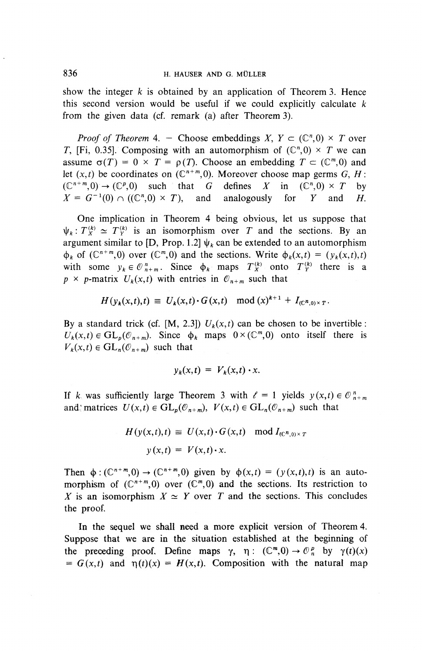show the integer *k* is obtained by an application of Theorem 3. Hence this second version would be useful if we could explicitly calculate *k* from the given data (cf. remark (a) after Theorem 3).

*Proof of Theorem* 4. - Choose embeddings  $X, Y \subset (\mathbb{C}^n,0) \times T$  over T, [Fi, 0.35]. Composing with an automorphism of  $(\mathbb{C}^n,0) \times T$  we can assume  $\sigma(T) = 0 \times T = \rho(T)$ . Choose an embedding  $T \subset (\mathbb{C}^m, 0)$  and let  $(x,t)$  be coordinates on  $(\mathbb{C}^{n+m},0)$ . Moreover choose map germs  $G, H$ :  $(\mathbb{C}^{n+m},0) \to (\mathbb{C}^p,0)$  such that G defines X in  $(\mathbb{C}^n,0) \times T$  by  $X = G^{-1}(0) \cap ((\mathbb{C}^n,0) \times T)$ , and analogously for Y and H.  $X = G^{-1}(0) \cap ((\mathbb{C}^n,0) \times T)$ , and analogously for *Y* and *H*.

One implication in Theorem 4 being obvious, let us suppose that  $\psi_k: T_X^{(k)} \simeq T_Y^{(k)}$  is an isomorphism over *T* and the sections. By an argument similar to [D, Prop. 1.2]  $\psi_k$  can be extended to an automorphism  $\phi_k$  of  $(\mathbb{C}^{n+m},0)$  over  $(\mathbb{C}^m,0)$  and the sections. Write  $\phi_k(x,t) = (y_k(x,t),t)$ with some  $y_k \in \mathcal{O}_{n+m}^n$ . Since  $\phi_k$  maps  $T_X^{(k)}$  onto  $T_Y^{(k)}$  there is a  $p \times p$ -matrix  $U_k(x,t)$  with entries in  $\mathcal{O}_{n+m}$  such that

$$
H(y_k(x,t),t) \equiv U_k(x,t) \cdot G(x,t) \mod (x)^{k+1} + I_{(C^n,0) \times T}.
$$

By a standard trick (cf. [M, 2.3])  $U_k(x,t)$  can be chosen to be invertible:  $U_k(x,t) \in GL_p(\mathcal{O}_{n+m})$ . Since  $\phi_k$  maps  $0 \times (\mathbb{C}^m,0)$  onto itself there is  $V_k(x,t) \in GL_n(\mathcal{O}_{n+m})$  such that

$$
y_k(x,t) = V_k(x,t) \cdot x.
$$

If k was sufficiently large Theorem 3 with  $\ell = 1$  yields  $y(x,t) \in \mathbb{O}_{n+m}^n$ and matrices  $U(x,t) \in GL_p(\mathcal{O}_{n+m}), V(x,t) \in GL_n(\mathcal{O}_{n+m})$  such that

$$
H(y(x,t),t) \equiv U(x,t) \cdot G(x,t) \mod I_{(C^n,0) \times T}
$$

$$
y(x,t) = V(x,t) \cdot x.
$$

Then  $\phi$ :  $(\mathbb{C}^{n+m},0) \to (\mathbb{C}^{n+m},0)$  given by  $\phi(x,t) = (y(x,t),t)$  is an automorphism of  $(\mathbb{C}^{n+m},0)$  over  $(\mathbb{C}^m,0)$  and the sections. Its restriction to *X* is an isomorphism  $X \simeq Y$  over *T* and the sections. This concludes the proof.

In the sequel we shall need a more explicit version of Theorem 4. Suppose that we are in the situation established at the beginning of the preceding proof. Define maps  $\gamma$ ,  $\eta$  :  $(\mathbb{C}^m, 0) \to \mathbb{O}_n^p$  by  $\gamma(t)(x)$  $= G(x,t)$  and  $\eta(t)(x) = H(x,t)$ . Composition with the natural map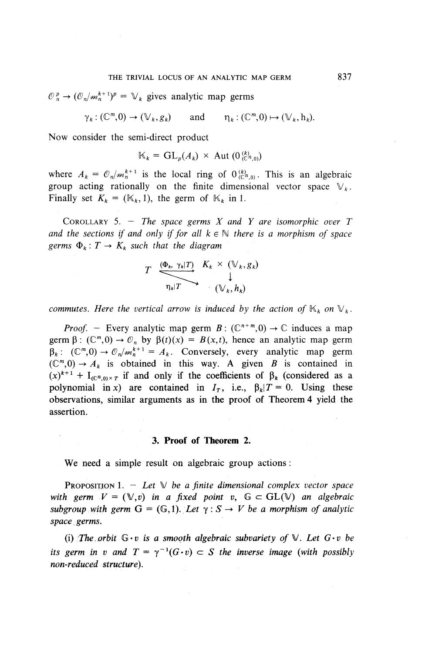$\mathcal{O}_n^p \to (\mathcal{O}_n/m_n^{k+1})^p = \mathbb{V}_k$  gives analytic map germs

 $\gamma_k: (\mathbb{C}^m,0) \to (\mathbb{V}_k,g_k)$  and  $\eta_k: (\mathbb{C}^m,0) \mapsto (\mathbb{V}_k,h_k).$ 

Now consider the semi-direct product

$$
\mathbb{K}_k = \mathrm{GL}_p(A_k) \times \mathrm{Aut} \left( \mathbf{0}_{\mathbb{C}^{n}(0,0)}^{(k)} \right)
$$

where  $A_k = \mathcal{O}_n/m_h^{k+1}$  is the local ring of  $O^{(k)}_{(C^n,0)}$ . This is an algebraic group acting rationally on the finite dimensional vector space  $\mathbb{V}_k$ . Finally set  $K_k = (K_k, 1)$ , the germ of  $K_k$  in 1.

COROLLARY 5. - *The space germs X and Y are isomorphic over T* and the sections if and only if for all  $k \in \mathbb{N}$  there is a morphism of space germs  $\Phi_k : T \to K_k$  such that the diagram

$$
T \xrightarrow{\left(\Phi_k, \gamma_k | T\right)} \xrightarrow{\chi_k} \xleftarrow{\left(\mathbb{V}_k, g_k\right)} \mathbb{I}
$$

*commutes. Here the vertical arrow is induced by the action of*  $K_k$  on  $V_k$ .

*Proof.* - Every analytic map germ  $B: (\mathbb{C}^{n+m}, 0) \to \mathbb{C}$  induces a map germ  $\beta$ :  $(\mathbb{C}^m, 0) \to \mathcal{O}_n$  by  $\beta(t)(x) = B(x,t)$ , hence an analytic map germ germ  $\beta$ :  $(\mathbb{C}^m, 0) \to \mathcal{O}_n$  by  $\beta(t)(x) = B(x,t)$ , hence an analytic map germ  $\beta_k$ :  $(\mathbb{C}^m, 0) \to \mathcal{O}_n/m_k^{k+1} = A_k$ . Conversely, every analytic map germ  $(\mathbb{C}^m, 0) \to A_k$  is obtained in this way. A given *B* is contained in  $(x)^{k+1}$  + I<sub>(C<sup>n</sup>,0)x<sub>T</sub></sub> if and only if the coefficients of  $\beta_k$  (considered as a polynomial in x) are contained in  $I_T$ , i.e.,  $\beta_k/T = 0$ . Using these observations, similar arguments as in the proof of Theorem 4 yield the assertion.

### **3. Proof of Theorem 2.**

We need a simple result on algebraic group actions:

**PROPOSITION 1.**  $-$  *Let*  $\mathbb{V}$  *be a finite dimensional complex vector space with germ*  $V = (\mathbb{V}, v)$  *in a fixed point v,*  $G \subset GL(\mathbb{V})$  *an algebraic subgroup with germ*  $G = (G,1)$ . Let  $\gamma : S \rightarrow V$  be a morphism of analytic *space germs.*

(i) The orbit  $G \cdot v$  is a smooth algebraic subvariety of  $V$ . Let  $G \cdot v$  be *its germ in v and*  $T = \gamma^{-1}(G \cdot v) \subset S$  *the inverse image (with possibly non-reduced structure).*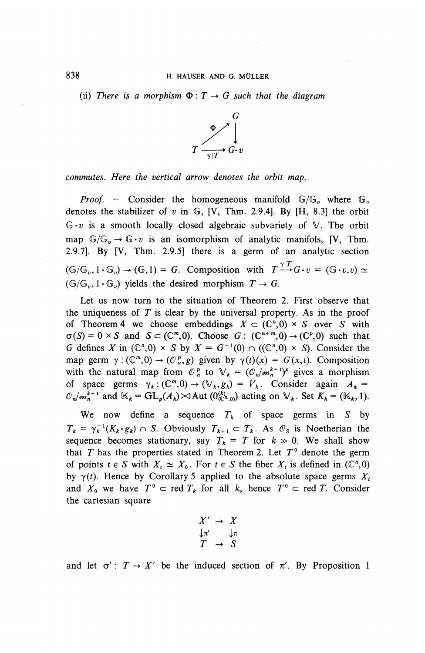(ii) There is a morphism  $\Phi: T \to G$  such that the diagram



*commutes. Here the vertical arrow denotes the orbit map.*

*Proof.* - Consider the homogeneous manifold  $\mathbb{G}/\mathbb{G}_v$  where  $\mathbb{G}_v$ denotes the stabilizer of *v* in G, [V, Thm. 2.9.4]. By [H, 8.3] the orbit  $G \cdot v$  is a smooth locally closed algebraic subvariety of  $V$ . The orbit map  $\mathbb{G}/\mathbb{G}_v \to \mathbb{G}\cdot v$  is an isomorphism of analytic manifols, [V, Thm. 2.9.7]. By [V, Thm. 2.9.5] there is a germ of an analytic section  $(\mathbb{G}/\mathbb{G}_v, 1 \cdot \mathbb{G}_v) \rightarrow (\mathbb{G}, 1) = G$ . Composition with  $T \xrightarrow{\gamma|T} G \cdot v = (\mathbb{G} \cdot v, v) \simeq$  $(\mathbb{G}/\mathbb{G}_n, 1 \cdot \mathbb{G}_n)$  yields the desired morphism  $T \to G$ .

Let us now turn to the situation of Theorem 2. First observe that the uniqueness of *T* is clear by the universal property. As in the proof of Theorem 4 we choose embeddings  $X \subset (\mathbb{C}^n,0) \times S$  over *S* with  $\sigma(S) = 0 \times S$  and  $S \subset (\mathbb{C}^m, 0)$ . Choose  $G: (\mathbb{C}^{n+m}, 0) \to (\mathbb{C}^p, 0)$  such that *G* defines *X* in  $(\mathbb{C}^n, 0) \times S$  by  $X = G^{-1}(0) \cap ((\mathbb{C}^n, 0) \times S)$ . Consider the map germ  $\gamma$  :  $(\mathbb{C}^m,0) \to (\mathbb{O}_n^p,g)$  given by  $\gamma(t)(x) = G(x,t)$ . Composition with the natural map from  $\mathcal{O}_n^p$  to  $\mathcal{V}_k = (\mathcal{O}_n/m_h^{k+1})^p$  gives a morphism of space germs  $\gamma_k: (\mathbb{C}^m, 0) \to (\mathbb{V}_k, g_k) = V_k$ . Consider again  $A_k =$ of space germs  $\gamma_k : (\mathbb{C}^m,0) \to (\mathbb{V}_k, g_k) = V_k$ . Consider again  $A_k = \mathcal{O}_n/m_h^{k+1}$  and  $\mathbb{K}_k = GL_p(A_k) \rtimes \text{Aut } (0^{(k)}_{(\mathbb{C}^n,0)})$  acting on  $\mathbb{V}_k$ . Set  $K_k = (\mathbb{K}_k, 1)$ .

We now define a sequence  $T_k$  of space germs in S by  $T_k = \gamma_k^{-1}(K_k \cdot g_k) \cap S$ . Obviously  $T_{k+1} \subset T_k$ . As  $\mathcal{O}_S$  is Noetherian the sequence becomes stationary, say  $T_k = T$  for  $k \gg 0$ . We shall show that *T* has the properties stated in Theorem 2. Let *T°* denote the germ of points  $t \in S$  with  $X_t \simeq X_0$ . For  $t \in S$  the fiber  $X_t$  is defined in (C<sup>n</sup>,0) by  $\gamma(t)$ . Hence by Corollary 5 applied to the absolute space germs  $X_t$ and  $X_0$  we have  $T^0 \subset \text{red } T_k$  for all k, hence  $T^0 \subset \text{red } T$ . Consider the cartesian square

$$
\begin{array}{ccc}\nX' & \to & X \\
\downarrow \pi' & & \downarrow \pi \\
T & \to & S\n\end{array}
$$

and let  $\sigma'$ :  $T \rightarrow X'$  be the induced section of  $\pi'$ . By Proposition 1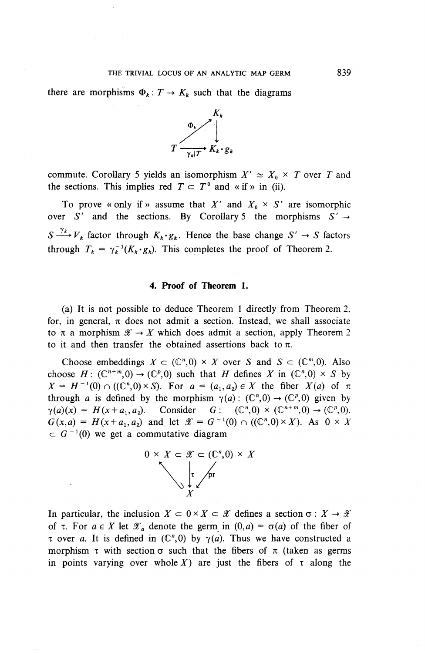#### THE TRIVIAL LOCUS OF AN ANALYTIC MAP GERM

there are morphisms  $\Phi_k: T \to K_k$  such that the diagrams



commute. Corollary 5 yields an isomorphism  $X' \simeq X_0 \times T$  over T and the sections. This implies red  $T \subset T^{\circ}$  and «if » in (ii).

To prove « only if » assume that X' and  $X_0 \times S'$  are isomorphic over S' and the sections. By Corollary 5 the morphisms  $S' \rightarrow$  $S \xrightarrow{\gamma_k} V_k$  factor through  $K_k \cdot g_k$ . Hence the base change  $S' \rightarrow S$  factors through  $T_k = \gamma_k^{-1}(K_k \cdot g_k)$ . This completes the proof of Theorem 2.

### **4. Proof of Theorem 1.**

(a) It is not possible to deduce Theorem 1 directly from Theorem 2, for, in general,  $\pi$  does not admit a section. Instead, we shall associate to  $\pi$  a morphism  $\mathscr{X} \to X$  which does admit a section, apply Theorem 2 to it and then transfer the obtained assertions back to *n.*

Choose embeddings  $X \subset (\mathbb{C}^n, 0) \times X$  over *S* and  $S \subset (\mathbb{C}^m, 0)$ . Also choose  $H: (\mathbb{C}^{n+m},0) \to (\mathbb{C}^p,0)$  such that *H* defines *X* in  $(\mathbb{C}^n,0) \times S$  by  $X = H^{-1}(0) \cap ((\mathbb{C}^n, 0) \times S)$ . For  $a = (a_1, a_2) \in X$  the fiber  $X(a)$  of  $\pi$ through *a* is defined by the morphism  $\gamma(a)$ :  $(\mathbb{C}^n,0) \to (\mathbb{C}^p,0)$  given by  $\gamma(a)(x) = H(x+a_1,a_2)$ . Consider  $G: (\mathbb{C}^n,0) \times (\mathbb{C}^{n+m},0) \to (\mathbb{C}^p,0)$ ,  $G(x,a) = H(x+a_1,a_2)$  and let  $\mathscr{X} = G^{-1}(0) \cap ((\mathbb{C}^n,0) \times X)$ . As  $0 \times X$  $\subset G^{-1}(0)$  we get a commutative diagram



In particular, the inclusion  $X \subset 0 \times X \subset \mathcal{X}$  defines a section  $\sigma : X \to \mathcal{X}$ of  $\tau$ . For  $a \in X$  let  $\mathcal{X}_a$  denote the germ in  $(0,a) = \sigma(a)$  of the fiber of  $\tau$  over a. It is defined in  $(\mathbb{C}^n,0)$  by  $\gamma(a)$ . Thus we have constructed a morphism  $\tau$  with section  $\sigma$  such that the fibers of  $\pi$  (taken as germs in points varying over whole X) are just the fibers of  $\tau$  along the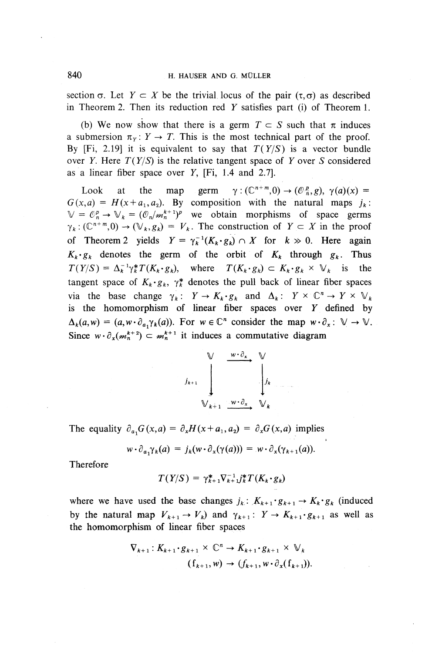section  $\sigma$ . Let  $Y \subset X$  be the trivial locus of the pair  $(\tau, \sigma)$  as described in Theorem 2. Then its reduction red *Y* satisfies part (i) of Theorem 1.

(b) We now show that there is a germ  $T \subset S$  such that  $\pi$  induces a submersion  $\pi_Y: Y \to T$ . This is the most technical part of the proof. By [Fi, 2.19] it is equivalent to say that  $T(Y/S)$  is a vector bundle over 7. Here *T(Y/S )* is the relative tangent space of *Y* over *S* considered as a linear fiber space over  $Y$ , [Fi, 1.4 and 2.7].

Look at the map germ  $\gamma$   $(\mathbb{C}^{n+m},0) \rightarrow (\mathbb{C}^p,\mathfrak{g})$ ,  $\gamma(a)(x)$  =  $G(x,a) = H(x+a_1,a_2)$ . By composition with the natural maps  $i_k$ :  $\mathbb{V} = C_n^p \rightarrow \mathbb{V}_k = (C_n/m_h^{k+1})^p$  we obtain morphisms of space germs  $\gamma_k : (\mathbb{C}^{n+m},0) \to (\mathbb{V}_k,g_k) = V_k$ . The construction of  $Y \subset X$  in the proof of Theorem 2 yields  $Y = \gamma_k^{-1} (K_k \cdot g_k) \cap X$  for  $k \gg 0$ . Here again  $K_k \cdot g_k$  denotes the germ of the orbit of  $K_k$  through  $g_k$ . Thus  $T(Y/S) = \Delta_k^{-1} \gamma_k^* T(K_k \cdot g_k)$ , where  $T(K_k \cdot g_k) \subset K_k \cdot g_k \times V_k$  is the tangent space of  $K_k \cdot g_k$ ,  $\gamma_k^*$  denotes the pull back of linear fiber spaces via the base change  $\gamma_k : Y \to K_k \cdot g_k$  and  $\Delta_k : Y \times \mathbb{C}^n \to Y \times \mathbb{V}_k$ is the homomorphism of linear fiber spaces over *Y* defined by  $\Delta_k(a,w) = (a,w\cdot \partial_{a_1}\gamma_k(a))$ . For  $w \in \mathbb{C}^n$  consider the map  $w\cdot \partial_x : \mathbb{V} \to \mathbb{V}$ . Since  $w \cdot \partial_x (m_h^{k+2}) \subset m_h^{k+1}$  it induces a commutative diagram

$$
y_{k+1} \bigcup_{\forall k+1}^{w \cdot \partial_x} \dots \bigvee_{\forall k}^{w \cdot \partial_x} y_k
$$

The equality  $\partial_{a_1}G(x,a) = \partial_xH(x + a_1,a_2) = \partial_xG(x,a)$  implies

$$
w \cdot \partial_{a_1} \gamma_k(a) = j_k(w \cdot \partial_x(\gamma(a))) = w \cdot \partial_x(\gamma_{k+1}(a)).
$$

Therefore

$$
T(Y/S) = \gamma_{k+1}^* \nabla_{k+1}^{-1} j_k^* T(K_k \cdot g_k)
$$

where we have used the base changes  $j_k: K_{k+1} \tcdot g_{k+1} \to K_k \tcdot g_k$  (induced by the natural map  $V_{k+1} \to V_k$ ) and  $\gamma_{k+1} : Y \to K_{k+1} \cdot g_{k+1}$  as well as the homomorphism of linear fiber spaces

$$
\nabla_{k+1}: K_{k+1} \cdot g_{k+1} \times \mathbb{C}^n \to K_{k+1} \cdot g_{k+1} \times \mathbb{V}_k
$$
  

$$
(\mathbf{f}_{k+1}, w) \to (f_{k+1}, w \cdot \partial_x(\mathbf{f}_{k+1})).
$$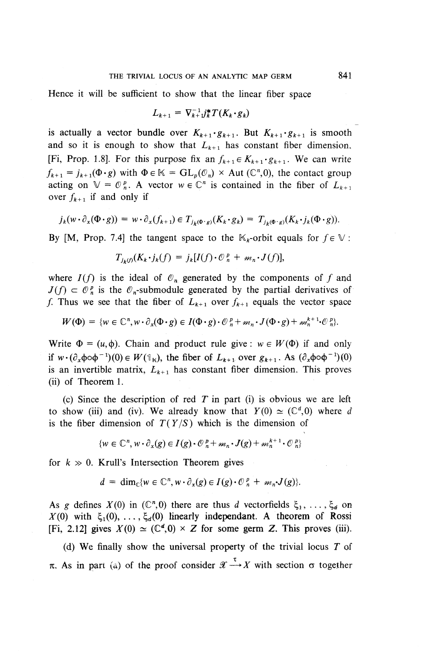Hence it will be sufficient to show that the linear fiber space

$$
L_{k+1} = \nabla_{k+1}^{-1} j_k^* T(K_k \cdot g_k)
$$

is actually a vector bundle over  $K_{k+1} \cdot g_{k+1}$ . But  $K_{k+1} \cdot g_{k+1}$  is smooth and so it is enough to show that  $L_{k+1}$  has constant fiber dimension, [Fi, Prop. 1.8]. For this purpose fix an  $f_{k+1} \in K_{k+1} \cdot g_{k+1}$ . We can write  $f_{k+1} = j_{k+1}(\Phi \cdot g)$  with  $\Phi \in \mathbb{K} = GL_p(\mathcal{O}_n) \times \text{Aut}(\mathbb{C}^n,0)$ , the contact group acting on  $\mathbb{V} = \mathcal{O}_n^p$ . A vector  $w \in \mathbb{C}^n$  is contained in the fiber of  $L_{k+1}$ over  $f_{k+1}$  if and only if

$$
j_k(w \cdot \partial_x(\Phi \cdot g)) = w \cdot \partial_x(f_{k+1}) \in T_{j_k(\Phi \cdot g)}(K_k \cdot g_k) = T_{j_k(\Phi \cdot g)}(K_k \cdot j_k(\Phi \cdot g)).
$$

By [M, Prop. 7.4] the tangent space to the  $\mathbb{K}_{k}$ -orbit equals for  $f \in \mathbb{V}$ :

$$
T_{j_k(t)}(K_k \cdot j_k(f)) = j_k[I(f) \cdot \mathcal{O}_n^p + m_n \cdot J(f)],
$$

where  $I(f)$  is the ideal of  $\mathcal{O}_n$  generated by the components of f and  $J(f) \subset \mathcal{O}_n^p$  is the  $\mathcal{O}_n$ -submodule generated by the partial derivatives of f. Thus we see that the fiber of  $L_{k+1}$  over  $f_{k+1}$  equals the vector space

$$
W(\Phi) = \{ w \in \mathbb{C}^n, w \cdot \partial_x (\Phi \cdot g) \in I(\Phi \cdot g) \cdot \mathcal{O}_n^p + m_n \cdot J(\Phi \cdot g) + m_n^{k+1} \cdot \mathcal{O}_n^p \}.
$$

Write  $\Phi = (u, \phi)$ . Chain and product rule give :  $w \in W(\Phi)$  if and only if  $w \cdot (\partial_x \phi \circ \phi^{-1})(0) \in W(\mathbb{I}_k)$ , the fiber of  $L_{k+1}$  over  $g_{k+1}$ . As  $(\partial_x \phi \circ \phi^{-1})(0)$ is an invertible matrix,  $L_{k+1}$  has constant fiber dimension. This proves (ii) of Theorem 1.

(c) Since the description of red *T* in part (i) is obvious we are left to show (iii) and (iv). We already know that  $Y(0) \simeq (\mathbb{C}^d, 0)$  where d is the fiber dimension of  $T(Y/S)$  which is the dimension of

$$
\{w \in \mathbb{C}^n, w \cdot \partial_x(g) \in I(g) \cdot \mathcal{O}_n^p + m_n \cdot J(g) + m_n^{k+1} \cdot \mathcal{O}_n^p\}
$$

for  $k \gg 0$ . Krull's Intersection Theorem gives

$$
d = \dim_{\mathbb{C}} \{ w \in \mathbb{C}^n, w \cdot \partial_x(g) \in I(g) \cdot \mathbb{O}_n^p + m_n J(g) \}.
$$

As g defines  $X(0)$  in  $(\mathbb{C}^n,0)$  there are thus d vectorfields  $\xi_1, \ldots, \xi_d$  on  $X(0)$  with  $\xi_1(0), \ldots, \xi_d(0)$  linearly independant. A theorem of Rossi [Fi, 2.12] gives  $X(0) \simeq (\mathbb{C}^d, 0) \times Z$  for some germ Z. This proves (iii).

(d) **We** finally show the universal property of the trivial locus *T* of  $\pi$ . As in part (a) of the proof consider  $\mathscr{X} \xrightarrow{\tau} X$  with section  $\sigma$  together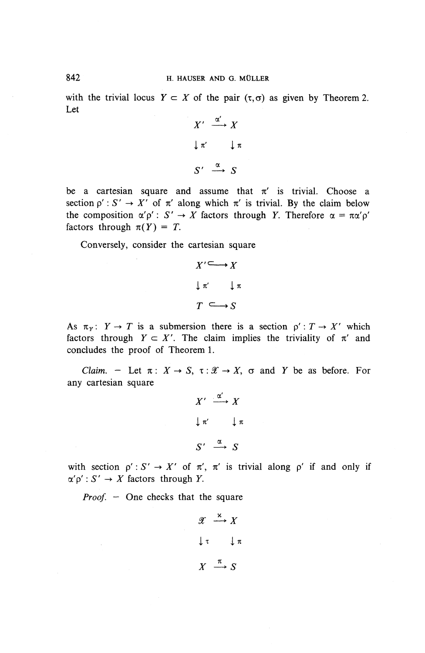with the trivial locus  $Y \subset X$  of the pair  $(\tau, \sigma)$  as given by Theorem 2. Let

$$
X' \xrightarrow{\alpha'} X
$$
  

$$
\downarrow \pi' \qquad \downarrow \pi
$$
  

$$
S' \xrightarrow{\alpha} S
$$

be a cartesian square and assume that  $\pi'$  is trivial. Choose a section  $p' : S' \to X'$  of  $\pi'$  along which  $\pi'$  is trivial. By the claim below the composition  $\alpha'p' : S' \to X$  factors through *Y*. Therefore  $\alpha = \pi \alpha'p'$ factors through  $\pi(Y) = T$ .

Conversely, consider the cartesian square

$$
X' \longrightarrow X
$$
  

$$
\downarrow \pi' \qquad \downarrow \pi
$$
  

$$
T \longrightarrow S
$$

As  $\pi_Y$ :  $Y \to T$  is a submersion there is a section  $p' : T \to X'$  which factors through  $Y \subset X'$ . The claim implies the triviality of  $\pi'$  and concludes the proof of Theorem 1.

*Claim.* - Let  $\pi$ :  $X \to S$ ,  $\tau : \mathcal{X} \to X$ ,  $\sigma$  and *Y* be as before. For any cartesian square

$$
X' \xrightarrow{\alpha'} X
$$
  

$$
\downarrow \pi' \qquad \downarrow \pi
$$
  

$$
S' \xrightarrow{\alpha} S
$$

with section  $p': S' \to X'$  of  $\pi', \pi'$  is trivial along p' if and only if  $\alpha' \rho' : S' \to X$  factors through Y.

*Proof.* – One checks that the square

$$
\begin{array}{rcl}\n\mathscr{X} & \xrightarrow{\kappa} & X \\
\downarrow^{\tau} & & \downarrow^{\pi} \\
X & \xrightarrow{\pi} & S\n\end{array}
$$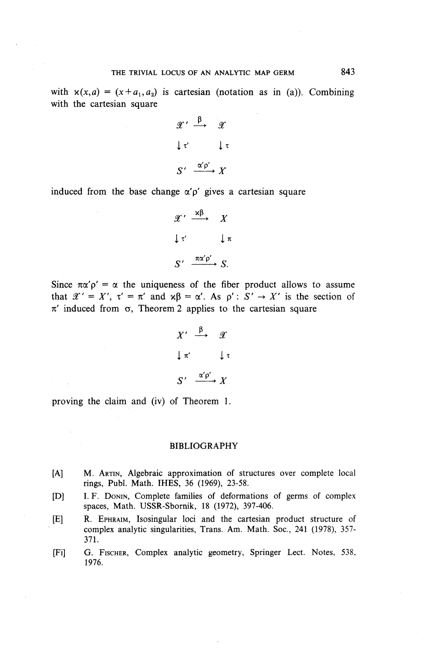with  $x(x,a) = (x+a_1,a_2)$  is cartesian (notation as in (a)). Combining with the cartesian square

> $\alpha' \stackrel{\beta}{\longrightarrow} \alpha'$  $\downarrow$   $\tau'$   $\downarrow$   $\tau$  $S' \xrightarrow{\alpha' \rho'} X$

induced from the base change  $\alpha' \rho'$  gives a cartesian square

$$
\mathscr{X}' \xrightarrow{\alpha \beta} X
$$
  

$$
\downarrow \tau' \qquad \downarrow \pi
$$
  

$$
S' \xrightarrow{\pi \alpha' \rho'} S.
$$

Since  $\pi\alpha'p' = \alpha$  the uniqueness of the fiber product allows to assume that  $\mathscr{X}' = X'$ ,  $\tau' = \pi'$  and  $\kappa \beta = \alpha'$ . As  $\rho' : S' \to X'$  is the section of  $\pi'$  induced from  $\sigma$ , Theorem 2 applies to the cartesian square

$$
X' \xrightarrow{\beta} \mathcal{X}
$$
  

$$
\downarrow \pi' \qquad \downarrow \tau
$$
  

$$
S' \xrightarrow{\alpha' \rho'} X
$$

proving the claim and (iv) of Theorem 1.

#### BIBLIOGRAPHY

- [A] M. ARTIN, Algebraic approximation of structures over complete local rings, Publ. Math. IHES, 36 (1969), 23-5^.
- [D] I. F. DONIN, Complete families of deformations of germs of complex spaces, Math. USSR-Sbornik, 18 (1972), 397-406.
- [E] R. EPHRAIM, Isosingular loci and the cartesian product structure of complex analytic singularities, Trans. Am. Math. Soc., 241 (1978), 357- 371.
- [Fi] G. FISCHER, Complex analytic geometry, Springer Lect. Notes, 538, 1976.